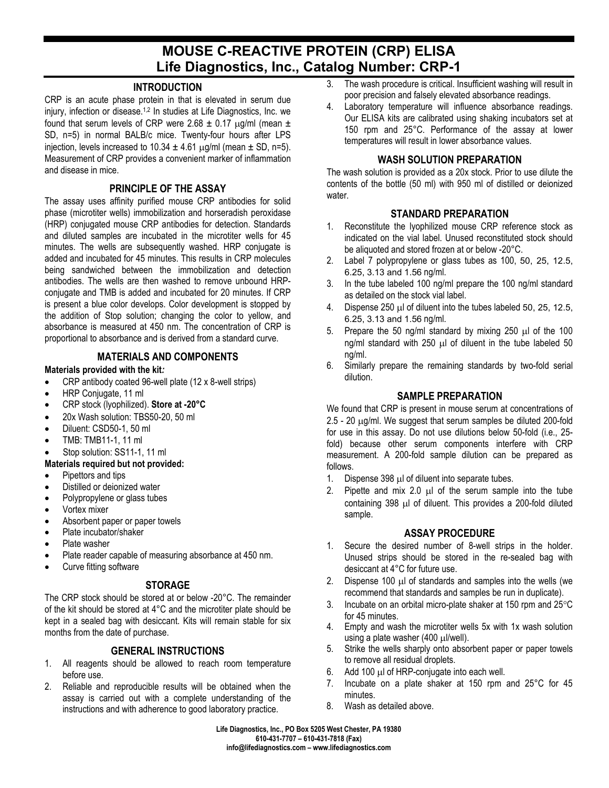# **MOUSE C-REACTIVE PROTEIN (CRP) ELISA Life Diagnostics, Inc., Catalog Number: CRP-1**

## **INTRODUCTION**

CRP is an acute phase protein in that is elevated in serum due injury, infection or disease.1,2 In studies at Life Diagnostics, Inc. we found that serum levels of CRP were  $2.68 \pm 0.17$  ug/ml (mean  $\pm$ SD, n=5) in normal BALB/c mice. Twenty-four hours after LPS injection, levels increased to 10.34  $\pm$  4.61  $\mu$ g/ml (mean  $\pm$  SD, n=5). Measurement of CRP provides a convenient marker of inflammation and disease in mice.

#### **PRINCIPLE OF THE ASSAY**

The assay uses affinity purified mouse CRP antibodies for solid phase (microtiter wells) immobilization and horseradish peroxidase (HRP) conjugated mouse CRP antibodies for detection. Standards and diluted samples are incubated in the microtiter wells for 45 minutes. The wells are subsequently washed. HRP conjugate is added and incubated for 45 minutes. This results in CRP molecules being sandwiched between the immobilization and detection antibodies. The wells are then washed to remove unbound HRPconjugate and TMB is added and incubated for 20 minutes. If CRP is present a blue color develops. Color development is stopped by the addition of Stop solution; changing the color to yellow, and absorbance is measured at 450 nm. The concentration of CRP is proportional to absorbance and is derived from a standard curve.

## **MATERIALS AND COMPONENTS**

#### **Materials provided with the kit***:*

- CRP antibody coated 96-well plate (12 x 8-well strips)
- HRP Conjugate, 11 ml
- CRP stock (lyophilized). **Store at -20°C**
- 20x Wash solution: TBS50-20, 50 ml
- Diluent: CSD50-1, 50 ml
- TMB: TMB11-1, 11 ml
- Stop solution: SS11-1, 11 ml

#### **Materials required but not provided:**

- Pipettors and tips
- Distilled or deionized water
- Polypropylene or glass tubes
- Vortex mixer
- Absorbent paper or paper towels
- Plate incubator/shaker
- Plate washer
- Plate reader capable of measuring absorbance at 450 nm.
- Curve fitting software

#### **STORAGE**

The CRP stock should be stored at or below -20°C. The remainder of the kit should be stored at 4°C and the microtiter plate should be kept in a sealed bag with desiccant. Kits will remain stable for six months from the date of purchase.

# **GENERAL INSTRUCTIONS**

- 1. All reagents should be allowed to reach room temperature before use.
- 2. Reliable and reproducible results will be obtained when the assay is carried out with a complete understanding of the instructions and with adherence to good laboratory practice.
- 3. The wash procedure is critical. Insufficient washing will result in poor precision and falsely elevated absorbance readings.
- 4. Laboratory temperature will influence absorbance readings. Our ELISA kits are calibrated using shaking incubators set at 150 rpm and 25°C. Performance of the assay at lower temperatures will result in lower absorbance values.

#### **WASH SOLUTION PREPARATION**

The wash solution is provided as a 20x stock. Prior to use dilute the contents of the bottle (50 ml) with 950 ml of distilled or deionized water.

## **STANDARD PREPARATION**

- 1. Reconstitute the lyophilized mouse CRP reference stock as indicated on the vial label. Unused reconstituted stock should be aliquoted and stored frozen at or below -20°C.
- 2. Label 7 polypropylene or glass tubes as 100, 50, 25, 12.5, 6.25, 3.13 and 1.56 ng/ml.
- 3. In the tube labeled 100 ng/ml prepare the 100 ng/ml standard as detailed on the stock vial label.
- 4. Dispense 250 µl of diluent into the tubes labeled 50, 25, 12.5, 6.25, 3.13 and 1.56 ng/ml.
- 5. Prepare the 50 ng/ml standard by mixing  $250 \mu$  of the 100 ng/ml standard with  $250$   $\mu$ l of diluent in the tube labeled 50 ng/ml.
- 6. Similarly prepare the remaining standards by two-fold serial dilution.

# **SAMPLE PREPARATION**

We found that CRP is present in mouse serum at concentrations of 2.5 - 20 µg/ml. We suggest that serum samples be diluted 200-fold for use in this assay. Do not use dilutions below 50-fold (i.e., 25 fold) because other serum components interfere with CRP measurement. A 200-fold sample dilution can be prepared as follows.

- 1. Dispense 398 µl of diluent into separate tubes.
- 2. Pipette and mix 2.0 µl of the serum sample into the tube containing 398 µl of diluent. This provides a 200-fold diluted sample.

#### **ASSAY PROCEDURE**

- 1. Secure the desired number of 8-well strips in the holder. Unused strips should be stored in the re-sealed bag with desiccant at 4°C for future use.
- 2. Dispense 100  $\mu$  of standards and samples into the wells (we recommend that standards and samples be run in duplicate).
- 3. Incubate on an orbital micro-plate shaker at 150 rpm and 25°C for 45 minutes.
- 4. Empty and wash the microtiter wells 5x with 1x wash solution using a plate washer (400 µl/well).
- 5. Strike the wells sharply onto absorbent paper or paper towels to remove all residual droplets.
- 6. Add 100 µl of HRP-conjugate into each well.
- 7. Incubate on a plate shaker at 150 rpm and 25°C for 45 minutes.
- 8. Wash as detailed above.

**Life Diagnostics, Inc., PO Box 5205 West Chester, PA 19380 610-431-7707 – 610-431-7818 (Fax) info@lifediagnostics.com – www.lifediagnostics.com**